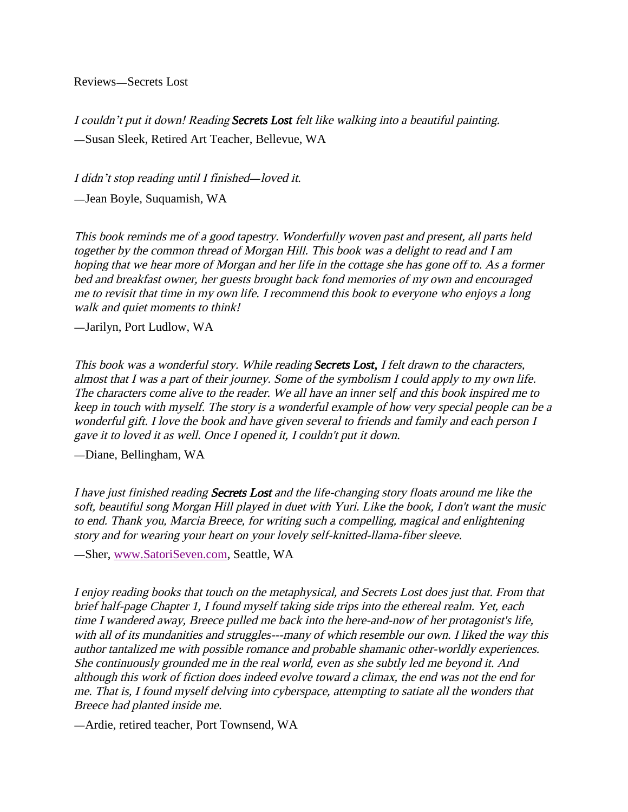Reviews-Secrets Lost

I couldn't put it down! Reading *Secrets Lost* felt like walking into a beautiful painting. Susan Sleek, Retired Art Teacher, Bellevue, WA

I didn't stop reading until I finished—loved it.

Jean Boyle, Suquamish, WA

This book reminds me of a good tapestry. Wonderfully woven past and present, all parts held together by the common thread of Morgan Hill. This book was a delight to read and I am hoping that we hear more of Morgan and her life in the cottage she has gone off to. As a former bed and breakfast owner, her guests brought back fond memories of my own and encouraged me to revisit that time in my own life. I recommend this book to everyone who enjoys a long walk and quiet moments to think!

Jarilyn, Port Ludlow, WA

This book was a wonderful story. While reading *Secrets Lost,* I felt drawn to the characters, almost that I was a part of their journey. Some of the symbolism I could apply to my own life. The characters come alive to the reader. We all have an *inner self* and this book inspired me to keep in touch with myself. The story is a wonderful example of how very special people can be a wonderful gift. I love the book and have given several to friends and family and each person I gave it to loved it as well. Once I opened it, I couldn't put it down.

Diane, Bellingham, WA

I have just finished reading **Secrets Lost** and the life-changing story floats around me like the soft, beautiful song Morgan Hill played in duet with Yuri. Like the book, I don't want the music to end. Thank you, Marcia Breece, for writing such a compelling, magical and enlightening story and for wearing your heart on your lovely self-knitted-llama-fiber sleeve.

Sher, [www.SatoriSeven.com,](http://www.satoriseven.com/) Seattle, WA

I enjoy reading books that touch on the metaphysical, and Secrets Lost does just that. From that brief half-page Chapter 1, I found myself taking side trips into the ethereal realm. Yet, each time I wandered away, Breece pulled me back into the here-and-now of her protagonist's life, with all of its mundanities and struggles---many of which resemble our own. I liked the way this author tantalized me with possible romance and probable shamanic other-worldly experiences. She continuously grounded me in the real world, even as she subtly led me beyond it. And although this work of fiction does indeed evolve toward a climax, the end was not the end for me. That is, I found myself delving into cyberspace, attempting to satiate all the wonders that Breece had planted inside me.

Ardie, retired teacher, Port Townsend, WA